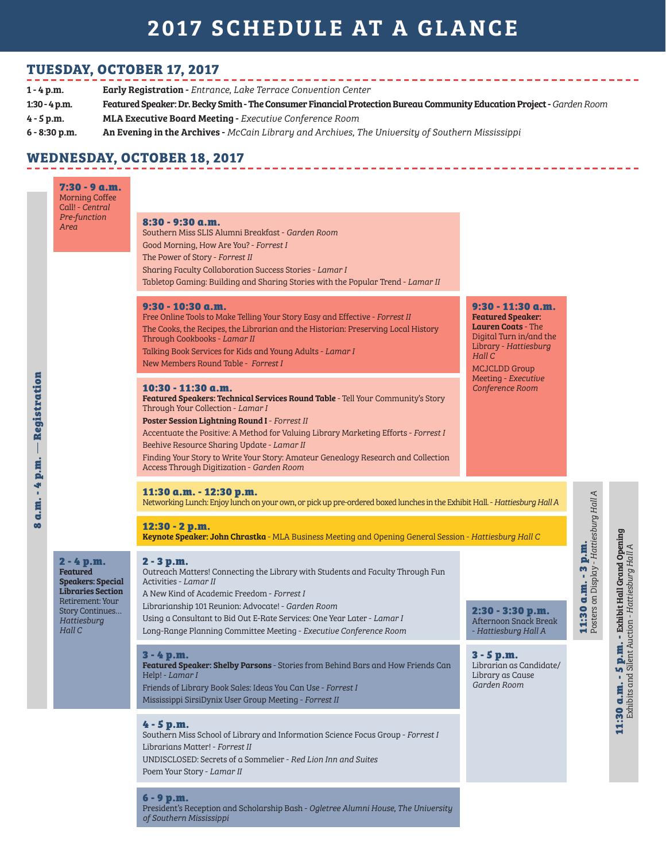# 2017 SCHEDULE AT A GLANCE

### **TUESDAY, OCTOBER 17, 2017**

| $1 - 4$ p.m.    | <b>Early Registration - Entrance, Lake Terrace Convention Center</b>                                                   |  |
|-----------------|------------------------------------------------------------------------------------------------------------------------|--|
| $1:30 - 4$ p.m. | Featured Speaker: Dr. Becky Smith - The Consumer Financial Protection Bureau Community Education Project - Garden Room |  |
| $4 - 5$ p.m.    | <b>MLA Executive Board Meeting - Executive Conference Room</b>                                                         |  |
| $6 - 8:30$ p.m. | An Evening in the Archives - McCain Library and Archives, The University of Southern Mississippi                       |  |

#### **WEDNESDAY, OCTOBER 18, 2017**

| Registration<br>p.m.<br>4<br>٠<br>a.m.<br>$\boldsymbol{\omega}$ | $7:30 - 9$ a.m.<br><b>Morning Coffee</b><br>Call! - Central<br>Pre-function<br>Area                                                                     | $8:30 - 9:30$ a.m.<br>Southern Miss SLIS Alumni Breakfast - Garden Room<br>Good Morning, How Are You? - Forrest I                                                                                                                                                                                                                                                                                                                                                                   |                                                                                                                                                                    |                                                                              |                                                                                     |
|-----------------------------------------------------------------|---------------------------------------------------------------------------------------------------------------------------------------------------------|-------------------------------------------------------------------------------------------------------------------------------------------------------------------------------------------------------------------------------------------------------------------------------------------------------------------------------------------------------------------------------------------------------------------------------------------------------------------------------------|--------------------------------------------------------------------------------------------------------------------------------------------------------------------|------------------------------------------------------------------------------|-------------------------------------------------------------------------------------|
|                                                                 |                                                                                                                                                         | The Power of Story - Forrest II<br>Sharing Faculty Collaboration Success Stories - Lamar I<br>Tabletop Gaming: Building and Sharing Stories with the Popular Trend - Lamar II                                                                                                                                                                                                                                                                                                       |                                                                                                                                                                    |                                                                              |                                                                                     |
|                                                                 |                                                                                                                                                         | $9:30 - 10:30$ a.m.<br>Free Online Tools to Make Telling Your Story Easy and Effective - Forrest II<br>The Cooks, the Recipes, the Librarian and the Historian: Preserving Local History<br>Through Cookbooks - Lamar II<br>Talking Book Services for Kids and Young Adults - Lamar I<br>New Members Round Table - Forrest I                                                                                                                                                        | $9:30 - 11:30$ a.m.<br><b>Featured Speaker:</b><br><b>Lauren Coats - The</b><br>Digital Turn in/and the<br>Library - Hattiesburg<br>Hall C<br><b>MCJCLDD Group</b> |                                                                              |                                                                                     |
|                                                                 |                                                                                                                                                         | 10:30 - 11:30 a.m.<br>Featured Speakers: Technical Services Round Table - Tell Your Community's Story<br>Through Your Collection - Lamar I<br>Poster Session Lightning Round I - Forrest II<br>Accentuate the Positive: A Method for Valuing Library Marketing Efforts - Forrest I<br>Beehive Resource Sharing Update - Lamar II<br>Finding Your Story to Write Your Story: Amateur Genealogy Research and Collection<br>Access Through Digitization - Garden Room                  | Meeting - Executive<br>Conference Room                                                                                                                             |                                                                              |                                                                                     |
|                                                                 |                                                                                                                                                         | 11:30 a.m. - 12:30 p.m.<br>Networking Lunch: Enjoy lunch on your own, or pick up pre-ordered boxed lunches in the Exhibit Hall. - Hattiesburg Hall A<br>$12:30 - 2 p.m.$                                                                                                                                                                                                                                                                                                            |                                                                                                                                                                    |                                                                              |                                                                                     |
|                                                                 | $2 - 4 p.m.$<br><b>Featured</b><br><b>Speakers: Special</b><br><b>Libraries Section</b><br>Retirement: Your<br>Story Continues<br>Hattiesburg<br>Hall C | Keynote Speaker: John Chrastka - MLA Business Meeting and Opening General Session - Hattiesburg Hall C<br>2 - 3 p.m.<br>Outreach Matters! Connecting the Library with Students and Faculty Through Fun<br>Activities - Lamar II<br>A New Kind of Academic Freedom - Forrest I<br>Librarianship 101 Reunion: Advocate! - Garden Room<br>Using a Consultant to Bid Out E-Rate Services: One Year Later - Lamar I<br>Long-Range Planning Committee Meeting - Executive Conference Room | 2:30 - 3:30 p.m.<br>Afternoon Snack Break<br>- Hattiesburg Hall A                                                                                                  | <b>11:30 a.m. - 3 p.m.</b><br>Posters on Display - <i>Hattiesburg Hall A</i> | $5$ <b>p.m.</b> - Exhibit Hall Grand Opening<br>Silent Auction - Hattiesburg Hall A |
|                                                                 |                                                                                                                                                         | 3 - 4 p.m.<br>Featured Speaker: Shelby Parsons - Stories from Behind Bars and How Friends Can<br>Help! - Lamar I<br>Friends of Library Book Sales: Ideas You Can Use - Forrest I<br>Mississippi SirsiDynix User Group Meeting - Forrest II                                                                                                                                                                                                                                          | $3 - 5 p.m.$<br>Librarian as Candidate/<br>Library as Cause<br>Garden Room                                                                                         |                                                                              | <b>11:30 a.m. - !</b><br>Exhibits and                                               |
|                                                                 |                                                                                                                                                         | $4 - 5 p.m.$<br>Southern Miss School of Library and Information Science Focus Group - Forrest I<br>Librarians Matter! - Forrest II<br>UNDISCLOSED: Secrets of a Sommelier - Red Lion Inn and Suites<br>Poem Your Story - Lamar II                                                                                                                                                                                                                                                   |                                                                                                                                                                    |                                                                              |                                                                                     |
|                                                                 |                                                                                                                                                         | $6 - 9 p.m.$<br>President's Reception and Scholarship Bash - Ogletree Alumni House, The University<br>of Southern Mississippi                                                                                                                                                                                                                                                                                                                                                       |                                                                                                                                                                    |                                                                              |                                                                                     |